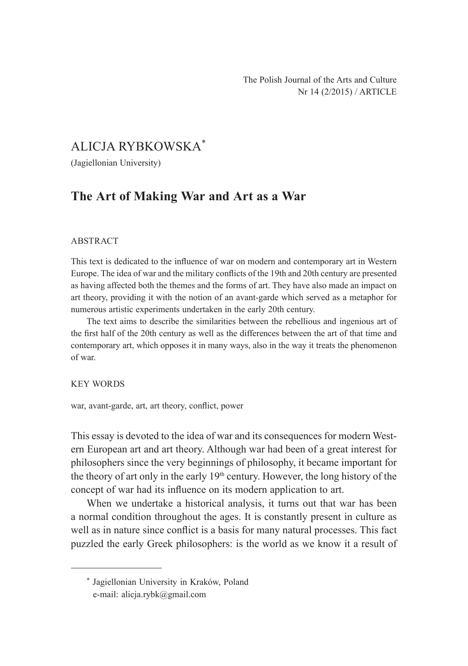## ALICJA RYBKOWSKA\*

(Jagiellonian University)

# **The Art of Making War and Art as a War**

#### ABSTRACT

This text is dedicated to the influence of war on modern and contemporary art in Western Europe. The idea of war and the military conflicts of the 19th and 20th century are presented as having affected both the themes and the forms of art. They have also made an impact on art theory, providing it with the notion of an avant-garde which served as a metaphor for numerous artistic experiments undertaken in the early 20th century.

The text aims to describe the similarities between the rebellious and ingenious art of the first half of the 20th century as well as the differences between the art of that time and contemporary art, which opposes it in many ways, also in the way it treats the phenomenon of war.

#### KEY WORDS

war, avant-garde, art, art theory, conflict, power

This essay is devoted to the idea of war and its consequences for modern Western European art and art theory. Although war had been of a great interest for philosophers since the very beginnings of philosophy, it became important for the theory of art only in the early  $19<sup>th</sup>$  century. However, the long history of the concept of war had its influence on its modern application to art.

When we undertake a historical analysis, it turns out that war has been a normal condition throughout the ages. It is constantly present in culture as well as in nature since conflict is a basis for many natural processes. This fact puzzled the early Greek philosophers: is the world as we know it a result of

<sup>\*</sup> Jagiellonian University in Kraków, Poland e-mail: alicja.rybk@gmail.com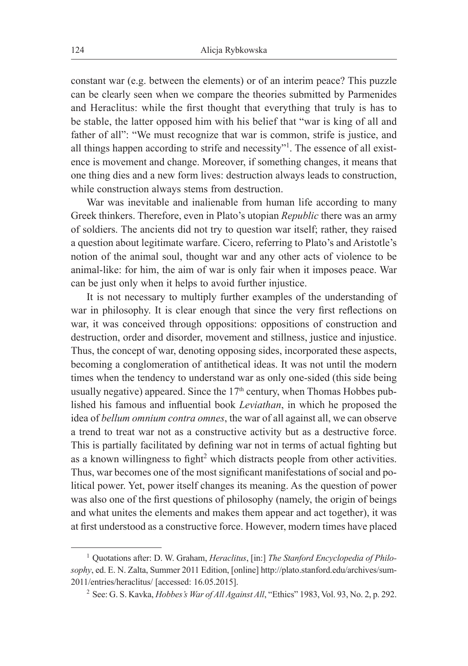constant war (e.g. between the elements) or of an interim peace? This puzzle can be clearly seen when we compare the theories submitted by Parmenides and Heraclitus: while the first thought that everything that truly is has to be stable, the latter opposed him with his belief that "war is king of all and father of all": "We must recognize that war is common, strife is justice, and all things happen according to strife and necessity"<sup>1</sup>. The essence of all existence is movement and change. Moreover, if something changes, it means that one thing dies and a new form lives: destruction always leads to construction, while construction always stems from destruction.

War was inevitable and inalienable from human life according to many Greek thinkers. Therefore, even in Plato's utopian *Republic* there was an army of soldiers. The ancients did not try to question war itself; rather, they raised a question about legitimate warfare. Cicero, referring to Plato's and Aristotle's notion of the animal soul, thought war and any other acts of violence to be animal-like: for him, the aim of war is only fair when it imposes peace. War can be just only when it helps to avoid further injustice.

It is not necessary to multiply further examples of the understanding of war in philosophy. It is clear enough that since the very first reflections on war, it was conceived through oppositions: oppositions of construction and destruction, order and disorder, movement and stillness, justice and injustice. Thus, the concept of war, denoting opposing sides, incorporated these aspects, becoming a conglomeration of antithetical ideas. It was not until the modern times when the tendency to understand war as only one-sided (this side being usually negative) appeared. Since the  $17<sup>th</sup>$  century, when Thomas Hobbes published his famous and influential book *Leviathan*, in which he proposed the idea of *bellum omnium contra omnes*, the war of all against all, we can observe a trend to treat war not as a constructive activity but as a destructive force. This is partially facilitated by defining war not in terms of actual fighting but as a known willingness to fight<sup>2</sup> which distracts people from other activities. Thus, war becomes one of the most significant manifestations of social and political power. Yet, power itself changes its meaning. As the question of power was also one of the first questions of philosophy (namely, the origin of beings and what unites the elements and makes them appear and act together), it was at first understood as a constructive force. However, modern times have placed

<sup>1</sup> Quotations after: D. W. Graham, *Heraclitus*, [in:] *The Stanford Encyclopedia of Philosophy*, ed. E. N. Zalta, Summer 2011 Edition, [online] http://plato.stanford.edu/archives/sum-2011/entries/heraclitus/ [accessed: 16.05.2015].

<sup>2</sup> See: G. S. Kavka, *Hobbes's War of All Against All*, "Ethics" 1983, Vol. 93, No. 2, p. 292.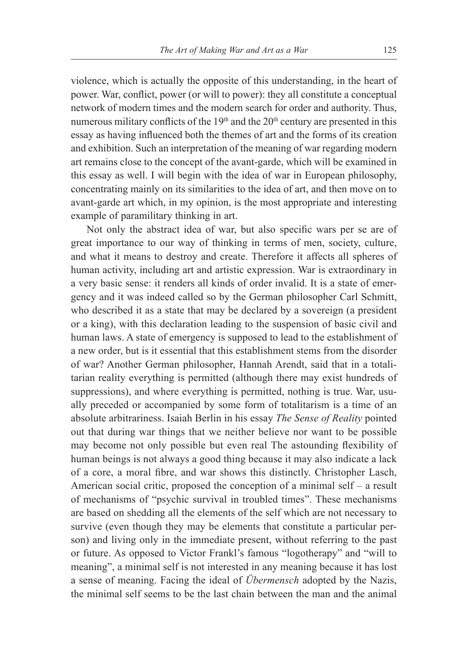violence, which is actually the opposite of this understanding, in the heart of power. War, conflict, power (or will to power): they all constitute a conceptual network of modern times and the modern search for order and authority. Thus, numerous military conflicts of the 19<sup>th</sup> and the 20<sup>th</sup> century are presented in this essay as having influenced both the themes of art and the forms of its creation and exhibition. Such an interpretation of the meaning of war regarding modern art remains close to the concept of the avant-garde, which will be examined in this essay as well. I will begin with the idea of war in European philosophy, concentrating mainly on its similarities to the idea of art, and then move on to avant-garde art which, in my opinion, is the most appropriate and interesting example of paramilitary thinking in art.

Not only the abstract idea of war, but also specific wars per se are of great importance to our way of thinking in terms of men, society, culture, and what it means to destroy and create. Therefore it affects all spheres of human activity, including art and artistic expression. War is extraordinary in a very basic sense: it renders all kinds of order invalid. It is a state of emergency and it was indeed called so by the German philosopher Carl Schmitt, who described it as a state that may be declared by a sovereign (a president or a king), with this declaration leading to the suspension of basic civil and human laws. A state of emergency is supposed to lead to the establishment of a new order, but is it essential that this establishment stems from the disorder of war? Another German philosopher, Hannah Arendt, said that in a totalitarian reality everything is permitted (although there may exist hundreds of suppressions), and where everything is permitted, nothing is true. War, usually preceded or accompanied by some form of totalitarism is a time of an absolute arbitrariness. Isaiah Berlin in his essay *The Sense of Reality* pointed out that during war things that we neither believe nor want to be possible may become not only possible but even real The astounding flexibility of human beings is not always a good thing because it may also indicate a lack of a core, a moral fibre, and war shows this distinctly. Christopher Lasch, American social critic, proposed the conception of a minimal self – a result of mechanisms of "psychic survival in troubled times". These mechanisms are based on shedding all the elements of the self which are not necessary to survive (even though they may be elements that constitute a particular person) and living only in the immediate present, without referring to the past or future. As opposed to Victor Frankl's famous "logotherapy" and "will to meaning", a minimal self is not interested in any meaning because it has lost a sense of meaning. Facing the ideal of *Übermensch* adopted by the Nazis, the minimal self seems to be the last chain between the man and the animal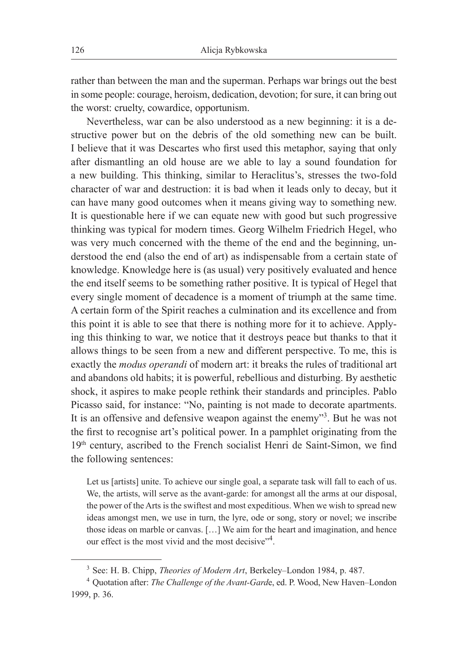rather than between the man and the superman. Perhaps war brings out the best in some people: courage, heroism, dedication, devotion; for sure, it can bring out the worst: cruelty, cowardice, opportunism.

Nevertheless, war can be also understood as a new beginning: it is a destructive power but on the debris of the old something new can be built. I believe that it was Descartes who first used this metaphor, saying that only after dismantling an old house are we able to lay a sound foundation for a new building. This thinking, similar to Heraclitus's, stresses the two-fold character of war and destruction: it is bad when it leads only to decay, but it can have many good outcomes when it means giving way to something new. It is questionable here if we can equate new with good but such progressive thinking was typical for modern times. Georg Wilhelm Friedrich Hegel, who was very much concerned with the theme of the end and the beginning, understood the end (also the end of art) as indispensable from a certain state of knowledge. Knowledge here is (as usual) very positively evaluated and hence the end itself seems to be something rather positive. It is typical of Hegel that every single moment of decadence is a moment of triumph at the same time. A certain form of the Spirit reaches a culmination and its excellence and from this point it is able to see that there is nothing more for it to achieve. Applying this thinking to war, we notice that it destroys peace but thanks to that it allows things to be seen from a new and different perspective. To me, this is exactly the *modus operandi* of modern art: it breaks the rules of traditional art and abandons old habits; it is powerful, rebellious and disturbing. By aesthetic shock, it aspires to make people rethink their standards and principles. Pablo Picasso said, for instance: "No, painting is not made to decorate apartments. It is an offensive and defensive weapon against the enemy"<sup>3</sup>. But he was not the first to recognise art's political power. In a pamphlet originating from the 19th century, ascribed to the French socialist Henri de Saint-Simon, we find the following sentences:

Let us [artists] unite. To achieve our single goal, a separate task will fall to each of us. We, the artists, will serve as the avant-garde: for amongst all the arms at our disposal, the power of the Arts is the swiftest and most expeditious. When we wish to spread new ideas amongst men, we use in turn, the lyre, ode or song, story or novel; we inscribe those ideas on marble or canvas. […] We aim for the heart and imagination, and hence our effect is the most vivid and the most decisive"<sup>4</sup>.

<sup>3</sup> See: H. B. Chipp, *Theories of Modern Art*, Berkeley–London 1984, p. 487.

<sup>4</sup> Quotation after: *The Challenge of the Avant-Gard*e, ed. P. Wood, New Haven–London 1999, p. 36.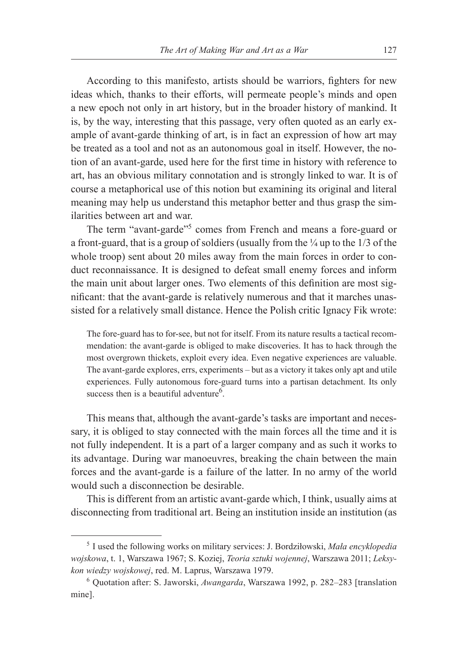According to this manifesto, artists should be warriors, fighters for new ideas which, thanks to their efforts, will permeate people's minds and open a new epoch not only in art history, but in the broader history of mankind. It is, by the way, interesting that this passage, very often quoted as an early example of avant-garde thinking of art, is in fact an expression of how art may be treated as a tool and not as an autonomous goal in itself. However, the notion of an avant-garde, used here for the first time in history with reference to art, has an obvious military connotation and is strongly linked to war. It is of course a metaphorical use of this notion but examining its original and literal meaning may help us understand this metaphor better and thus grasp the similarities between art and war.

The term "avant-garde"<sup>5</sup> comes from French and means a fore-guard or a front-guard, that is a group of soldiers (usually from the  $\frac{1}{4}$  up to the 1/3 of the whole troop) sent about 20 miles away from the main forces in order to conduct reconnaissance. It is designed to defeat small enemy forces and inform the main unit about larger ones. Two elements of this definition are most significant: that the avant-garde is relatively numerous and that it marches unassisted for a relatively small distance. Hence the Polish critic Ignacy Fik wrote:

The fore-guard has to for-see, but not for itself. From its nature results a tactical recommendation: the avant-garde is obliged to make discoveries. It has to hack through the most overgrown thickets, exploit every idea. Even negative experiences are valuable. The avant-garde explores, errs, experiments – but as a victory it takes only apt and utile experiences. Fully autonomous fore-guard turns into a partisan detachment. Its only success then is a beautiful adventure<sup>6</sup>.

This means that, although the avant-garde's tasks are important and necessary, it is obliged to stay connected with the main forces all the time and it is not fully independent. It is a part of a larger company and as such it works to its advantage. During war manoeuvres, breaking the chain between the main forces and the avant-garde is a failure of the latter. In no army of the world would such a disconnection be desirable.

This is different from an artistic avant-garde which, I think, usually aims at disconnecting from traditional art. Being an institution inside an institution (as

<sup>5</sup> I used the following works on military services: J. Bordziłowski, *Mała encyklopedia wojskowa*, t. 1, Warszawa 1967; S. Koziej, *Teoria sztuki wojennej*, Warszawa 2011; *Leksykon wiedzy wojskowej*, red. M. Laprus, Warszawa 1979.

<sup>6</sup> Quotation after: S. Jaworski, *Awangarda*, Warszawa 1992, p. 282–283 [translation mine].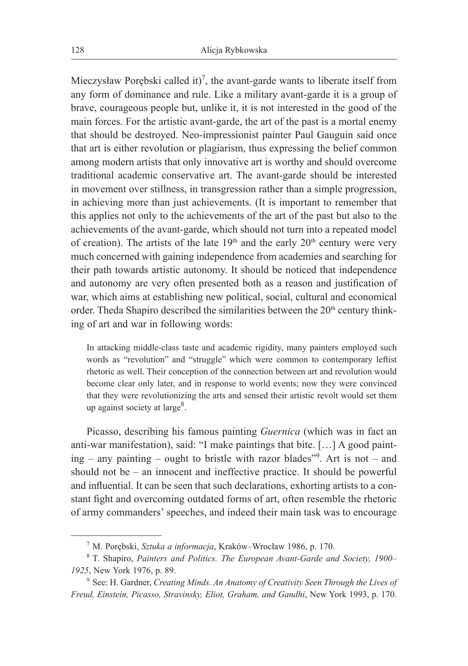Mieczysław Porębski called it)<sup>7</sup>, the avant-garde wants to liberate itself from any form of dominance and rule. Like a military avant-garde it is a group of brave, courageous people but, unlike it, it is not interested in the good of the main forces. For the artistic avant-garde, the art of the past is a mortal enemy that should be destroyed. Neo-impressionist painter Paul Gauguin said once that art is either revolution or plagiarism, thus expressing the belief common among modern artists that only innovative art is worthy and should overcome traditional academic conservative art. The avant-garde should be interested in movement over stillness, in transgression rather than a simple progression, in achieving more than just achievements. (It is important to remember that this applies not only to the achievements of the art of the past but also to the achievements of the avant-garde, which should not turn into a repeated model of creation). The artists of the late  $19<sup>th</sup>$  and the early  $20<sup>th</sup>$  century were very much concerned with gaining independence from academies and searching for their path towards artistic autonomy. It should be noticed that independence and autonomy are very often presented both as a reason and justification of war, which aims at establishing new political, social, cultural and economical order. Theda Shapiro described the similarities between the 20<sup>th</sup> century thinking of art and war in following words:

In attacking middle-class taste and academic rigidity, many painters employed such words as "revolution" and "struggle" which were common to contemporary leftist rhetoric as well. Their conception of the connection between art and revolution would become clear only later, and in response to world events; now they were convinced that they were revolutionizing the arts and sensed their artistic revolt would set them up against society at large<sup>8</sup>.

Picasso, describing his famous painting *Guernica* (which was in fact an anti-war manifestation), said: "I make paintings that bite. […] A good painting – any painting – ought to bristle with razor blades"<sup>9</sup> . Art is not – and should not be – an innocent and ineffective practice. It should be powerful and influential. It can be seen that such declarations, exhorting artists to a constant fight and overcoming outdated forms of art, often resemble the rhetoric of army commanders' speeches, and indeed their main task was to encourage

<sup>7</sup> M. Porębski, *Sztuka a informacja*, Kraków–Wrocław 1986, p. 170.

<sup>8</sup> T. Shapiro, *Painters and Politics. The European Avant-Garde and Society, 1900– 1925*, New York 1976, p. 89.

<sup>9</sup> See: H. Gardner, *Creating Minds. An Anatomy of Creativity Seen Through the Lives of Freud, Einstein, Picasso, Stravinsky, Eliot, Graham, and Gandhi*, New York 1993, p. 170.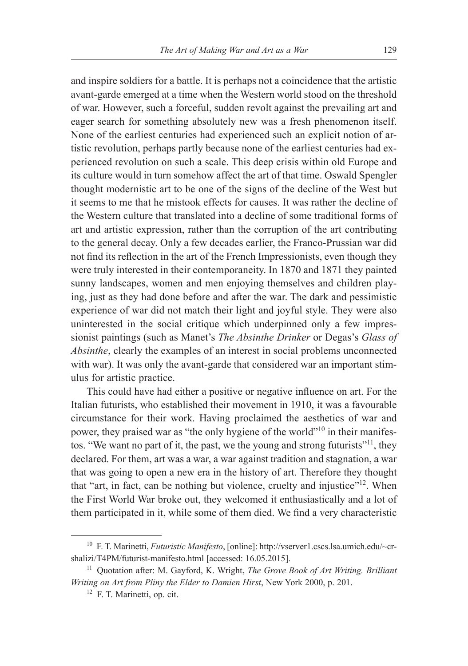and inspire soldiers for a battle. It is perhaps not a coincidence that the artistic avant-garde emerged at a time when the Western world stood on the threshold of war. However, such a forceful, sudden revolt against the prevailing art and eager search for something absolutely new was a fresh phenomenon itself. None of the earliest centuries had experienced such an explicit notion of artistic revolution, perhaps partly because none of the earliest centuries had experienced revolution on such a scale. This deep crisis within old Europe and its culture would in turn somehow affect the art of that time. Oswald Spengler thought modernistic art to be one of the signs of the decline of the West but it seems to me that he mistook effects for causes. It was rather the decline of the Western culture that translated into a decline of some traditional forms of art and artistic expression, rather than the corruption of the art contributing to the general decay. Only a few decades earlier, the Franco-Prussian war did not find its reflection in the art of the French Impressionists, even though they were truly interested in their contemporaneity. In 1870 and 1871 they painted sunny landscapes, women and men enjoying themselves and children playing, just as they had done before and after the war. The dark and pessimistic experience of war did not match their light and joyful style. They were also uninterested in the social critique which underpinned only a few impressionist paintings (such as Manet's *The Absinthe Drinker* or Degas's *Glass of Absinthe*, clearly the examples of an interest in social problems unconnected with war). It was only the avant-garde that considered war an important stimulus for artistic practice.

This could have had either a positive or negative influence on art. For the Italian futurists, who established their movement in 1910, it was a favourable circumstance for their work. Having proclaimed the aesthetics of war and power, they praised war as "the only hygiene of the world"<sup>10</sup> in their manifestos. "We want no part of it, the past, we the young and strong futurists"<sup>11</sup>, they declared. For them, art was a war, a war against tradition and stagnation, a war that was going to open a new era in the history of art. Therefore they thought that "art, in fact, can be nothing but violence, cruelty and injustice"<sup>12</sup>. When the First World War broke out, they welcomed it enthusiastically and a lot of them participated in it, while some of them died. We find a very characteristic

<sup>10</sup> F. T. Marinetti, *Futuristic Manifesto*, [online]: http://vserver1.cscs.lsa.umich.edu/~crshalizi/T4PM/futurist-manifesto.html [accessed: 16.05.2015].

<sup>11</sup> Quotation after: M. Gayford, K. Wright, *The Grove Book of Art Writing. Brilliant Writing on Art from Pliny the Elder to Damien Hirst*, New York 2000, p. 201.

<sup>12</sup> F. T. Marinetti, op. cit.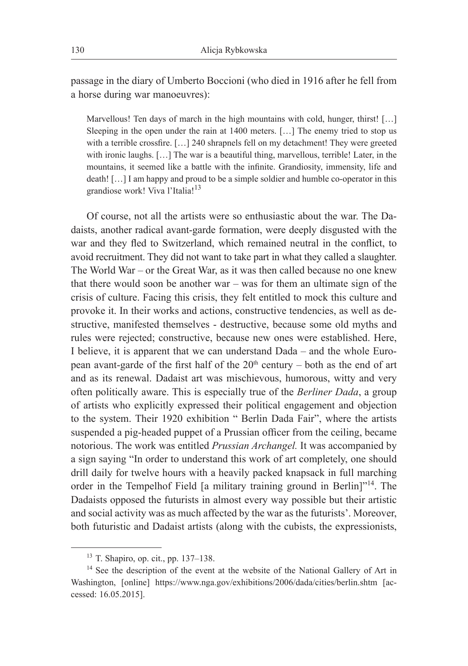passage in the diary of Umberto Boccioni (who died in 1916 after he fell from a horse during war manoeuvres):

Marvellous! Ten days of march in the high mountains with cold, hunger, thirst! [...] Sleeping in the open under the rain at 1400 meters. […] The enemy tried to stop us with a terrible crossfire. [...] 240 shrapnels fell on my detachment! They were greeted with ironic laughs. [...] The war is a beautiful thing, marvellous, terrible! Later, in the mountains, it seemed like a battle with the infinite. Grandiosity, immensity, life and death! […] I am happy and proud to be a simple soldier and humble co-operator in this grandiose work! Viva l'Italia!<sup>13</sup>

Of course, not all the artists were so enthusiastic about the war. The Dadaists, another radical avant-garde formation, were deeply disgusted with the war and they fled to Switzerland, which remained neutral in the conflict, to avoid recruitment. They did not want to take part in what they called a slaughter. The World War – or the Great War, as it was then called because no one knew that there would soon be another war – was for them an ultimate sign of the crisis of culture. Facing this crisis, they felt entitled to mock this culture and provoke it. In their works and actions, constructive tendencies, as well as destructive, manifested themselves - destructive, because some old myths and rules were rejected; constructive, because new ones were established. Here, I believe, it is apparent that we can understand Dada – and the whole European avant-garde of the first half of the  $20<sup>th</sup>$  century – both as the end of art and as its renewal. Dadaist art was mischievous, humorous, witty and very often politically aware. This is especially true of the *Berliner Dada*, a group of artists who explicitly expressed their political engagement and objection to the system. Their 1920 exhibition " Berlin Dada Fair", where the artists suspended a pig-headed puppet of a Prussian officer from the ceiling, became notorious. The work was entitled *Prussian Archangel.* It was accompanied by a sign saying "In order to understand this work of art completely, one should drill daily for twelve hours with a heavily packed knapsack in full marching order in the Tempelhof Field [a military training ground in Berlin]"<sup>14</sup>. The Dadaists opposed the futurists in almost every way possible but their artistic and social activity was as much affected by the war as the futurists'. Moreover, both futuristic and Dadaist artists (along with the cubists, the expressionists,

<sup>13</sup> T. Shapiro, op. cit., pp. 137–138.

<sup>&</sup>lt;sup>14</sup> See the description of the event at the website of the National Gallery of Art in Washington, [online] https://www.nga.gov/exhibitions/2006/dada/cities/berlin.shtm [accessed: 16.05.2015].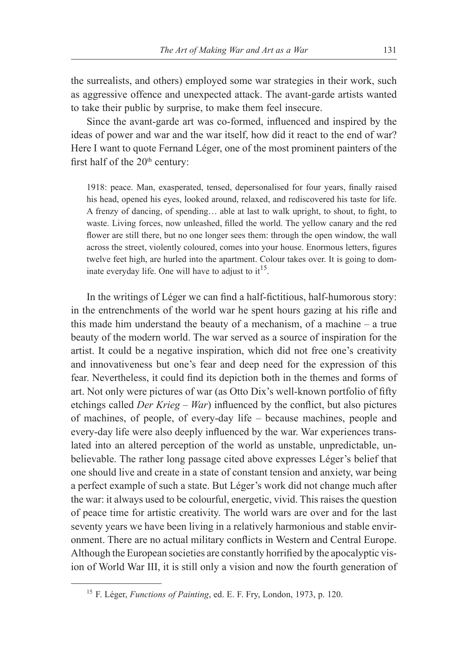the surrealists, and others) employed some war strategies in their work, such as aggressive offence and unexpected attack. The avant-garde artists wanted to take their public by surprise, to make them feel insecure.

Since the avant-garde art was co-formed, influenced and inspired by the ideas of power and war and the war itself, how did it react to the end of war? Here I want to quote Fernand Léger, one of the most prominent painters of the first half of the  $20<sup>th</sup>$  century:

1918: peace. Man, exasperated, tensed, depersonalised for four years, finally raised his head, opened his eyes, looked around, relaxed, and rediscovered his taste for life. A frenzy of dancing, of spending… able at last to walk upright, to shout, to fight, to waste. Living forces, now unleashed, filled the world. The yellow canary and the red flower are still there, but no one longer sees them: through the open window, the wall across the street, violently coloured, comes into your house. Enormous letters, figures twelve feet high, are hurled into the apartment. Colour takes over. It is going to dominate everyday life. One will have to adjust to  $it^{15}$ .

In the writings of Léger we can find a half-fictitious, half-humorous story: in the entrenchments of the world war he spent hours gazing at his rifle and this made him understand the beauty of a mechanism, of a machine – a true beauty of the modern world. The war served as a source of inspiration for the artist. It could be a negative inspiration, which did not free one's creativity and innovativeness but one's fear and deep need for the expression of this fear. Nevertheless, it could find its depiction both in the themes and forms of art. Not only were pictures of war (as Otto Dix's well-known portfolio of fifty etchings called *Der Krieg* – *War*) influenced by the conflict, but also pictures of machines, of people, of every-day life – because machines, people and every-day life were also deeply influenced by the war. War experiences translated into an altered perception of the world as unstable, unpredictable, unbelievable. The rather long passage cited above expresses Léger's belief that one should live and create in a state of constant tension and anxiety, war being a perfect example of such a state. But Léger's work did not change much after the war: it always used to be colourful, energetic, vivid. This raises the question of peace time for artistic creativity. The world wars are over and for the last seventy years we have been living in a relatively harmonious and stable environment. There are no actual military conflicts in Western and Central Europe. Although the European societies are constantly horrified by the apocalyptic vision of World War III, it is still only a vision and now the fourth generation of

<sup>15</sup> F. Léger, *Functions of Painting*, ed. E. F. Fry, London, 1973, p. 120.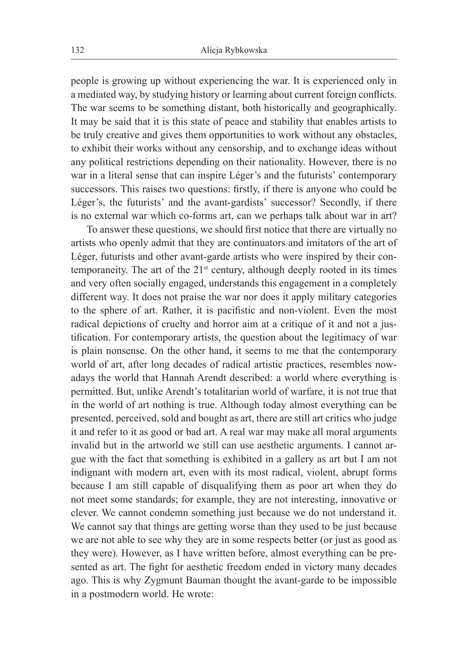people is growing up without experiencing the war. It is experienced only in a mediated way, by studying history or learning about current foreign conflicts. The war seems to be something distant, both historically and geographically. It may be said that it is this state of peace and stability that enables artists to be truly creative and gives them opportunities to work without any obstacles, to exhibit their works without any censorship, and to exchange ideas without any political restrictions depending on their nationality. However, there is no war in a literal sense that can inspire Léger's and the futurists' contemporary successors. This raises two questions: firstly, if there is anyone who could be Léger's, the futurists' and the avant-gardists' successor? Secondly, if there is no external war which co-forms art, can we perhaps talk about war in art?

To answer these questions, we should first notice that there are virtually no artists who openly admit that they are continuators and imitators of the art of Léger, futurists and other avant-garde artists who were inspired by their contemporaneity. The art of the 21<sup>st</sup> century, although deeply rooted in its times and very often socially engaged, understands this engagement in a completely different way. It does not praise the war nor does it apply military categories to the sphere of art. Rather, it is pacifistic and non-violent. Even the most radical depictions of cruelty and horror aim at a critique of it and not a justification. For contemporary artists, the question about the legitimacy of war is plain nonsense. On the other hand, it seems to me that the contemporary world of art, after long decades of radical artistic practices, resembles nowadays the world that Hannah Arendt described: a world where everything is permitted. But, unlike Arendt's totalitarian world of warfare, it is not true that in the world of art nothing is true. Although today almost everything can be presented, perceived, sold and bought as art, there are still art critics who judge it and refer to it as good or bad art. A real war may make all moral arguments invalid but in the artworld we still can use aesthetic arguments. I cannot argue with the fact that something is exhibited in a gallery as art but I am not indignant with modern art, even with its most radical, violent, abrupt forms because I am still capable of disqualifying them as poor art when they do not meet some standards; for example, they are not interesting, innovative or clever. We cannot condemn something just because we do not understand it. We cannot say that things are getting worse than they used to be just because we are not able to see why they are in some respects better (or just as good as they were). However, as I have written before, almost everything can be presented as art. The fight for aesthetic freedom ended in victory many decades ago. This is why Zygmunt Bauman thought the avant-garde to be impossible in a postmodern world. He wrote: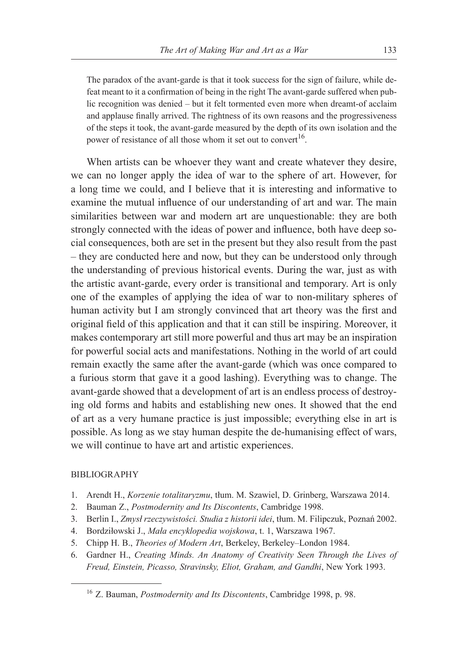The paradox of the avant-garde is that it took success for the sign of failure, while defeat meant to it a confirmation of being in the right The avant-garde suffered when public recognition was denied – but it felt tormented even more when dreamt-of acclaim and applause finally arrived. The rightness of its own reasons and the progressiveness of the steps it took, the avant-garde measured by the depth of its own isolation and the power of resistance of all those whom it set out to convert<sup>16</sup>.

When artists can be whoever they want and create whatever they desire, we can no longer apply the idea of war to the sphere of art. However, for a long time we could, and I believe that it is interesting and informative to examine the mutual influence of our understanding of art and war. The main similarities between war and modern art are unquestionable: they are both strongly connected with the ideas of power and influence, both have deep social consequences, both are set in the present but they also result from the past – they are conducted here and now, but they can be understood only through the understanding of previous historical events. During the war, just as with the artistic avant-garde, every order is transitional and temporary. Art is only one of the examples of applying the idea of war to non-military spheres of human activity but I am strongly convinced that art theory was the first and original field of this application and that it can still be inspiring. Moreover, it makes contemporary art still more powerful and thus art may be an inspiration for powerful social acts and manifestations. Nothing in the world of art could remain exactly the same after the avant-garde (which was once compared to a furious storm that gave it a good lashing). Everything was to change. The avant-garde showed that a development of art is an endless process of destroying old forms and habits and establishing new ones. It showed that the end of art as a very humane practice is just impossible; everything else in art is possible. As long as we stay human despite the de-humanising effect of wars, we will continue to have art and artistic experiences.

### BIBLIOGRAPHY

- 1. Arendt H., *Korzenie totalitaryzmu*, tłum. M. Szawiel, D. Grinberg, Warszawa 2014.
- 2. Bauman Z., *Postmodernity and Its Discontents*, Cambridge 1998.
- 3. Berlin I., *Zmysł rzeczywistości. Studia z historii idei*, tłum. M. Filipczuk, Poznań 2002.
- 4. Bordziłowski J., *Mała encyklopedia wojskowa*, t. 1, Warszawa 1967.
- 5. Chipp H. B., *Theories of Modern Art*, Berkeley, Berkeley–London 1984.
- 6. Gardner H., *Creating Minds. An Anatomy of Creativity Seen Through the Lives of Freud, Einstein, Picasso, Stravinsky, Eliot, Graham, and Gandhi*, New York 1993.

<sup>16</sup> Z. Bauman, *Postmodernity and Its Discontents*, Cambridge 1998, p. 98.